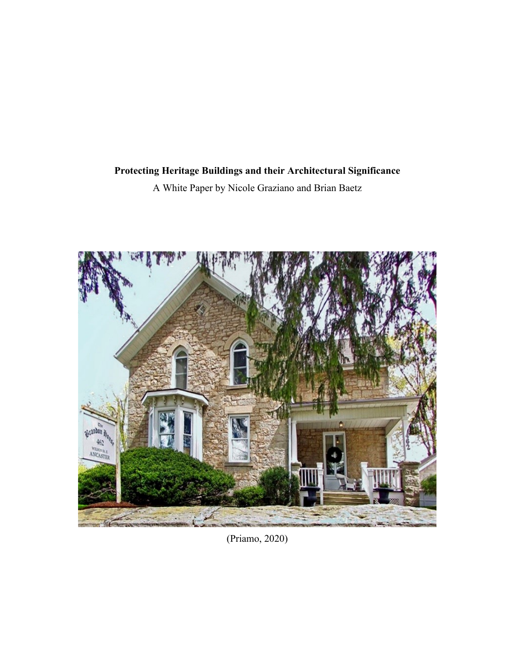# **Protecting Heritage Buildings and their Architectural Significance**

A White Paper by Nicole Graziano and Brian Baetz



(Priamo, 2020)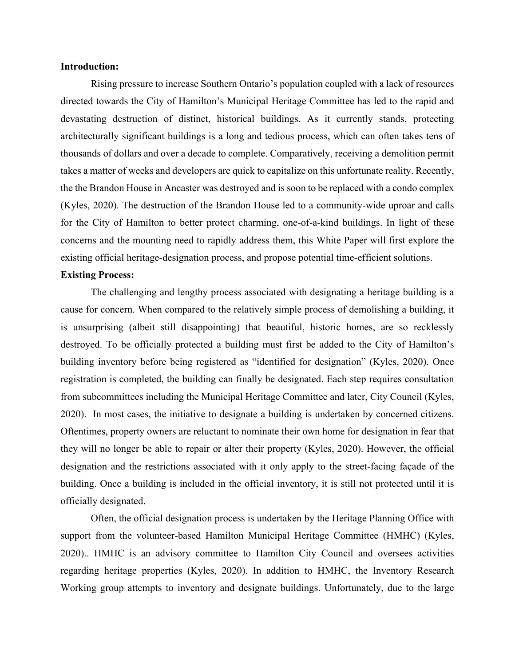## **Introduction:**

Rising pressure to increase Southern Ontario's population coupled with a lack of resources directed towards the City of Hamilton's Municipal Heritage Committee has led to the rapid and devastating destruction of distinct, historical buildings. As it currently stands, protecting architecturally significant buildings is a long and tedious process, which can often takes tens of thousands of dollars and over a decade to complete. Comparatively, receiving a demolition permit takes a matter of weeks and developers are quick to capitalize on this unfortunate reality. Recently, the the Brandon House in Ancaster was destroyed and is soon to be replaced with a condo complex (Kyles, 2020). The destruction of the Brandon House led to a community-wide uproar and calls for the City of Hamilton to better protect charming, one-of-a-kind buildings. In light of these concerns and the mounting need to rapidly address them, this White Paper will first explore the existing official heritage-designation process, and propose potential time-efficient solutions.

### **Existing Process:**

 The challenging and lengthy process associated with designating a heritage building is a cause for concern. When compared to the relatively simple process of demolishing a building, it is unsurprising (albeit still disappointing) that beautiful, historic homes, are so recklessly destroyed. To be officially protected a building must first be added to the City of Hamilton's building inventory before being registered as "identified for designation" (Kyles, 2020). Once registration is completed, the building can finally be designated. Each step requires consultation from subcommittees including the Municipal Heritage Committee and later, City Council (Kyles, 2020). In most cases, the initiative to designate a building is undertaken by concerned citizens. Oftentimes, property owners are reluctant to nominate their own home for designation in fear that they will no longer be able to repair or alter their property (Kyles, 2020). However, the official designation and the restrictions associated with it only apply to the street-facing façade of the building. Once a building is included in the official inventory, it is still not protected until it is officially designated.

Often, the official designation process is undertaken by the Heritage Planning Office with support from the volunteer-based Hamilton Municipal Heritage Committee (HMHC) (Kyles, 2020).. HMHC is an advisory committee to Hamilton City Council and oversees activities regarding heritage properties (Kyles, 2020). In addition to HMHC, the Inventory Research Working group attempts to inventory and designate buildings. Unfortunately, due to the large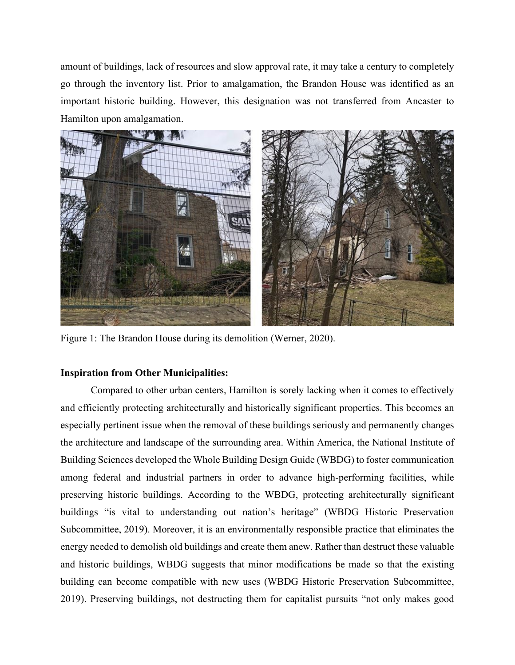amount of buildings, lack of resources and slow approval rate, it may take a century to completely go through the inventory list. Prior to amalgamation, the Brandon House was identified as an important historic building. However, this designation was not transferred from Ancaster to Hamilton upon amalgamation.



Figure 1: The Brandon House during its demolition (Werner, 2020).

## **Inspiration from Other Municipalities:**

Compared to other urban centers, Hamilton is sorely lacking when it comes to effectively and efficiently protecting architecturally and historically significant properties. This becomes an especially pertinent issue when the removal of these buildings seriously and permanently changes the architecture and landscape of the surrounding area. Within America, the National Institute of Building Sciences developed the Whole Building Design Guide (WBDG) to foster communication among federal and industrial partners in order to advance high-performing facilities, while preserving historic buildings. According to the WBDG, protecting architecturally significant buildings "is vital to understanding out nation's heritage" (WBDG Historic Preservation Subcommittee, 2019). Moreover, it is an environmentally responsible practice that eliminates the energy needed to demolish old buildings and create them anew. Rather than destruct these valuable and historic buildings, WBDG suggests that minor modifications be made so that the existing building can become compatible with new uses (WBDG Historic Preservation Subcommittee, 2019). Preserving buildings, not destructing them for capitalist pursuits "not only makes good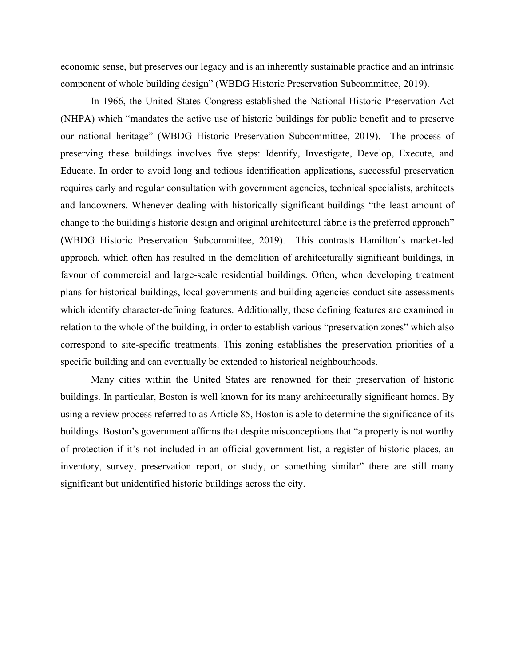economic sense, but preserves our legacy and is an inherently sustainable practice and an intrinsic component of whole building design" (WBDG Historic Preservation Subcommittee, 2019).

In 1966, the United States Congress established the National Historic Preservation Act (NHPA) which "mandates the active use of historic buildings for public benefit and to preserve our national heritage" (WBDG Historic Preservation Subcommittee, 2019). The process of preserving these buildings involves five steps: Identify, Investigate, Develop, Execute, and Educate. In order to avoid long and tedious identification applications, successful preservation requires early and regular consultation with government agencies, technical specialists, architects and landowners. Whenever dealing with historically significant buildings "the least amount of change to the building's historic design and original architectural fabric is the preferred approach" (WBDG Historic Preservation Subcommittee, 2019). This contrasts Hamilton's market-led approach, which often has resulted in the demolition of architecturally significant buildings, in favour of commercial and large-scale residential buildings. Often, when developing treatment plans for historical buildings, local governments and building agencies conduct site-assessments which identify character-defining features. Additionally, these defining features are examined in relation to the whole of the building, in order to establish various "preservation zones" which also correspond to site-specific treatments. This zoning establishes the preservation priorities of a specific building and can eventually be extended to historical neighbourhoods.

Many cities within the United States are renowned for their preservation of historic buildings. In particular, Boston is well known for its many architecturally significant homes. By using a review process referred to as Article 85, Boston is able to determine the significance of its buildings. Boston's government affirms that despite misconceptions that "a property is not worthy of protection if it's not included in an official government list, a register of historic places, an inventory, survey, preservation report, or study, or something similar" there are still many significant but unidentified historic buildings across the city.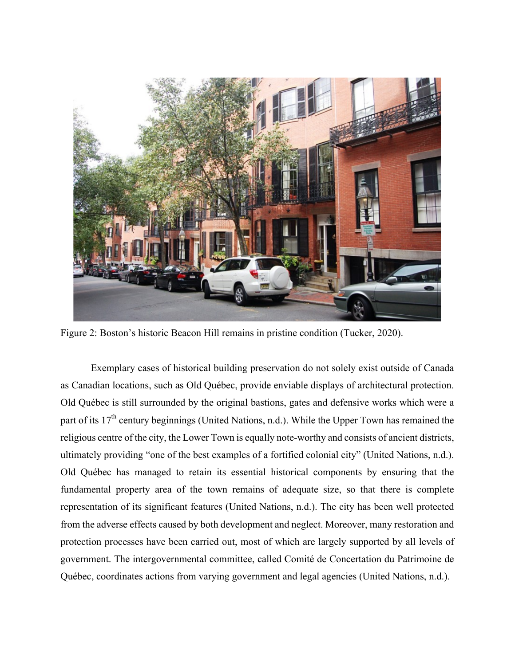

Figure 2: Boston's historic Beacon Hill remains in pristine condition (Tucker, 2020).

Exemplary cases of historical building preservation do not solely exist outside of Canada as Canadian locations, such as Old Québec, provide enviable displays of architectural protection. Old Québec is still surrounded by the original bastions, gates and defensive works which were a part of its 17<sup>th</sup> century beginnings (United Nations, n.d.). While the Upper Town has remained the religious centre of the city, the Lower Town is equally note-worthy and consists of ancient districts, ultimately providing "one of the best examples of a fortified colonial city" (United Nations, n.d.). Old Québec has managed to retain its essential historical components by ensuring that the fundamental property area of the town remains of adequate size, so that there is complete representation of its significant features (United Nations, n.d.). The city has been well protected from the adverse effects caused by both development and neglect. Moreover, many restoration and protection processes have been carried out, most of which are largely supported by all levels of government. The intergovernmental committee, called Comité de Concertation du Patrimoine de Québec, coordinates actions from varying government and legal agencies (United Nations, n.d.).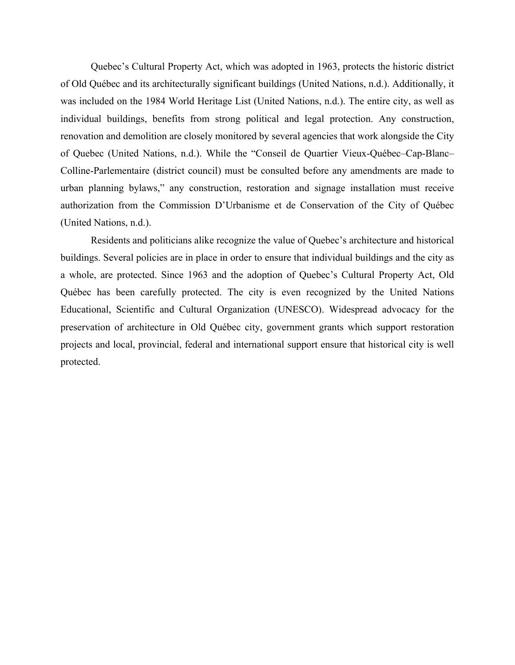Quebec's Cultural Property Act, which was adopted in 1963, protects the historic district of Old Québec and its architecturally significant buildings (United Nations, n.d.). Additionally, it was included on the 1984 World Heritage List (United Nations, n.d.). The entire city, as well as individual buildings, benefits from strong political and legal protection. Any construction, renovation and demolition are closely monitored by several agencies that work alongside the City of Quebec (United Nations, n.d.). While the "Conseil de Quartier Vieux-Québec–Cap-Blanc– Colline-Parlementaire (district council) must be consulted before any amendments are made to urban planning bylaws," any construction, restoration and signage installation must receive authorization from the Commission D'Urbanisme et de Conservation of the City of Québec (United Nations, n.d.).

Residents and politicians alike recognize the value of Quebec's architecture and historical buildings. Several policies are in place in order to ensure that individual buildings and the city as a whole, are protected. Since 1963 and the adoption of Quebec's Cultural Property Act, Old Québec has been carefully protected. The city is even recognized by the United Nations Educational, Scientific and Cultural Organization (UNESCO). Widespread advocacy for the preservation of architecture in Old Québec city, government grants which support restoration projects and local, provincial, federal and international support ensure that historical city is well protected.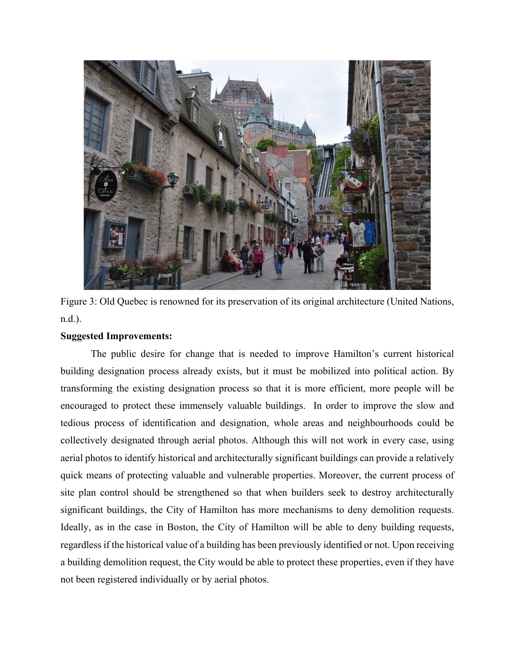

Figure 3: Old Quebec is renowned for its preservation of its original architecture (United Nations, n.d.).

## **Suggested Improvements:**

The public desire for change that is needed to improve Hamilton's current historical building designation process already exists, but it must be mobilized into political action. By transforming the existing designation process so that it is more efficient, more people will be encouraged to protect these immensely valuable buildings. In order to improve the slow and tedious process of identification and designation, whole areas and neighbourhoods could be collectively designated through aerial photos. Although this will not work in every case, using aerial photos to identify historical and architecturally significant buildings can provide a relatively quick means of protecting valuable and vulnerable properties. Moreover, the current process of site plan control should be strengthened so that when builders seek to destroy architecturally significant buildings, the City of Hamilton has more mechanisms to deny demolition requests. Ideally, as in the case in Boston, the City of Hamilton will be able to deny building requests, regardless if the historical value of a building has been previously identified or not. Upon receiving a building demolition request, the City would be able to protect these properties, even if they have not been registered individually or by aerial photos.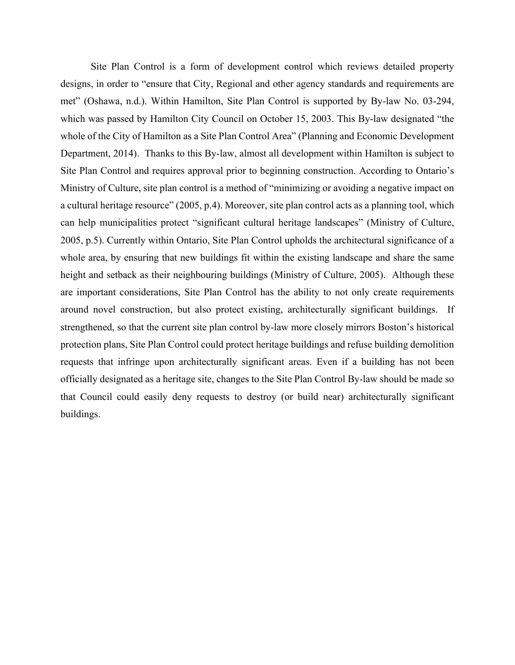Site Plan Control is a form of development control which reviews detailed property designs, in order to "ensure that City, Regional and other agency standards and requirements are met" (Oshawa, n.d.). Within Hamilton, Site Plan Control is supported by By-law No. 03-294, which was passed by Hamilton City Council on October 15, 2003. This By-law designated "the whole of the City of Hamilton as a Site Plan Control Area" (Planning and Economic Development Department, 2014). Thanks to this By-law, almost all development within Hamilton is subject to Site Plan Control and requires approval prior to beginning construction. According to Ontario's Ministry of Culture, site plan control is a method of "minimizing or avoiding a negative impact on a cultural heritage resource" (2005, p.4). Moreover, site plan control acts as a planning tool, which can help municipalities protect "significant cultural heritage landscapes" (Ministry of Culture, 2005, p.5). Currently within Ontario, Site Plan Control upholds the architectural significance of a whole area, by ensuring that new buildings fit within the existing landscape and share the same height and setback as their neighbouring buildings (Ministry of Culture, 2005). Although these are important considerations, Site Plan Control has the ability to not only create requirements around novel construction, but also protect existing, architecturally significant buildings. If strengthened, so that the current site plan control by-law more closely mirrors Boston's historical protection plans, Site Plan Control could protect heritage buildings and refuse building demolition requests that infringe upon architecturally significant areas. Even if a building has not been officially designated as a heritage site, changes to the Site Plan Control By-law should be made so that Council could easily deny requests to destroy (or build near) architecturally significant buildings.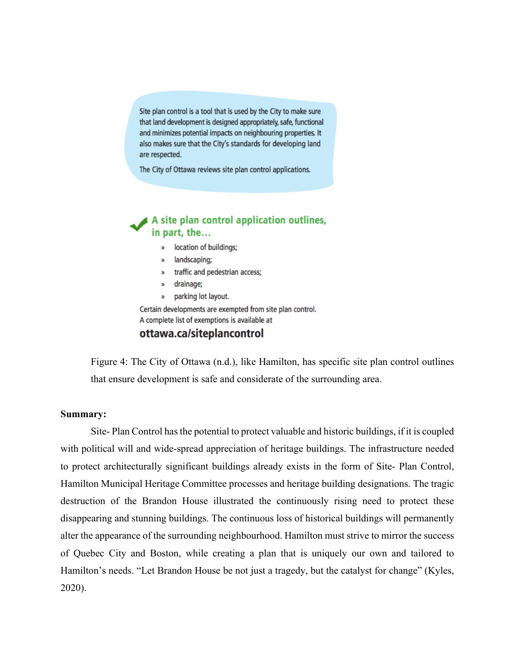Site plan control is a tool that is used by the City to make sure that land development is designed appropriately, safe, functional and minimizes potential impacts on neighbouring properties. It also makes sure that the City's standards for developing land are respected.

The City of Ottawa reviews site plan control applications.

## $\blacktriangle$  A site plan control application outlines, in part, the...

- » location of buildings;
- » landscaping;
- » traffic and pedestrian access;
- drainage;  $\mathbf{w}$
- W. parking lot layout.

Certain developments are exempted from site plan control. A complete list of exemptions is available at

# ottawa.ca/siteplancontrol

Figure 4: The City of Ottawa (n.d.), like Hamilton, has specific site plan control outlines that ensure development is safe and considerate of the surrounding area.

#### **Summary:**

Site- Plan Control has the potential to protect valuable and historic buildings, if it is coupled with political will and wide-spread appreciation of heritage buildings. The infrastructure needed to protect architecturally significant buildings already exists in the form of Site- Plan Control, Hamilton Municipal Heritage Committee processes and heritage building designations. The tragic destruction of the Brandon House illustrated the continuously rising need to protect these disappearing and stunning buildings. The continuous loss of historical buildings will permanently alter the appearance of the surrounding neighbourhood. Hamilton must strive to mirror the success of Quebec City and Boston, while creating a plan that is uniquely our own and tailored to Hamilton's needs. "Let Brandon House be not just a tragedy, but the catalyst for change" (Kyles, 2020).